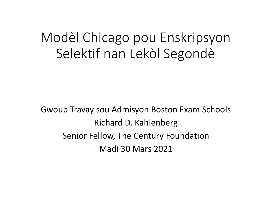# Modèl Chicago pou Enskripsyon Selektif nan Lekòl Segondè

Gwoup Travay sou Admisyon Boston Exam Schools Richard D. Kahlenberg Senior Fellow, The Century Foundation Madi 30 Mars 2021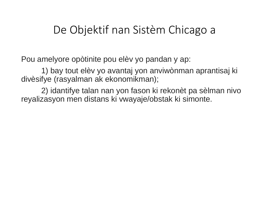#### De Objektif nan Sistèm Chicago a

Pou amelyore opòtinite pou elèv yo pandan y ap:

1) bay tout elèv yo avantaj yon anviwònman aprantisaj ki divèsifye (rasyalman ak ekonomikman);

2) idantifye talan nan yon fason ki rekonèt pa sèlman nivo reyalizasyon men distans ki vwayaje/obstak ki simonte.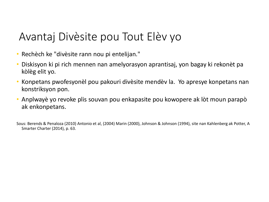### Avantaj Divèsite pou Tout Elèv yo

- Rechèch ke "divèsite rann nou pi entelijan."
- Diskisyon ki pi rich mennen nan amelyorasyon aprantisaj, yon bagay ki rekonèt pa kòlèg elit yo.
- Konpetans pwofesyonèl pou pakouri divèsite mendèv la. Yo apresye konpetans nan konstriksyon pon.
- Anplwayè yo revoke plis souvan pou enkapasite pou kowopere ak lòt moun parapò ak enkonpetans.

Sous: Berends & Penaloza (2010) Antonio et al, (2004) Marin (2000), Johnson & Johnson (1994), site nan Kahlenberg ak Potter, A Smarter Charter (2014), p. 63.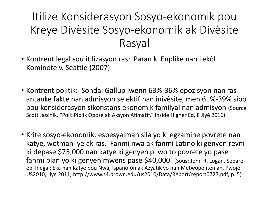## Itilize Konsiderasyon Sosyo-ekonomik pou Kreye Divèsite Sosyo-ekonomik ak Divèsite Rasyal

- Kontrent legal sou itilizasyon ras: Paran ki Enplike nan Lekòl Kominotè v. Seattle (2007)
- Kontrent politik: Sondaj Gallup jwenn 63%-36% opozisyon nan ras antanke faktè nan admisyon selektif nan inivèsite, men 61%-39% sipò pou konsiderasyon sikonstans ekonomik familyal nan admisyon (Source Scott Jaschik, "Poll: Piblik Opoze ak Aksyon Afimatif," Inside Higher Ed, 8 Jiyè 2016).
- Kritè sosyo-ekonomik, espesyalman sila yo ki egzamine povrete nan katye, wotman lye ak ras. Fanmi nwa ak fanmi Latino ki genyen revni ki depase \$75,000 nan katye ki genyen pi wo to povrete yo pase fanmi blan yo ki genyen mwens pase \$40,000. (Sous: John R. Logan, Separe epi Inegal: Eka nan Katye pou Nwa, Ispanofòn ak Azyatik yo nan Metwopoliten an, Pwojè US2010, Jiyè 2011, http://www.s4.brown.edu/us2010/Data/Report/report0727.pdf, p. 5)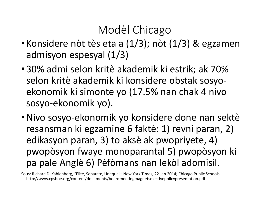## Modèl Chicago

- Konsidere nòt tès eta a (1/3); nòt (1/3) & egzamen admisyon espesyal (1/3)
- 30% admi selon kritè akademik ki estrik; ak 70% selon kritè akademik ki konsidere obstak sosyoekonomik ki simonte yo (17.5% nan chak 4 nivo sosyo-ekonomik yo).
- •Nivo sosyo-ekonomik yo konsidere done nan sektè resansman ki egzamine 6 faktè: 1) revni paran, 2) edikasyon paran, 3) to aksè ak pwopriyete, 4) pwopòsyon fwaye monoparantal 5) pwopòsyon ki pa pale Anglè 6) Pèfòmans nan lekòl adomisil.

Sous: Richard D. Kahlenberg, "Elite, Separate, Unequal," New York Times, 22 Jen 2014; Chicago Public Schools, http://www.cpsboe.org/content/documents/boardmeetingmagnetselectivepolicypresentation.pdf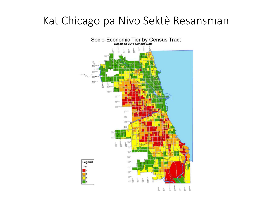#### Kat Chicago pa Nivo Sektè Resansman

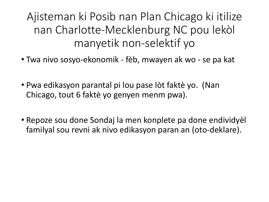Ajisteman ki Posib nan Plan Chicago ki itilize nan Charlotte-Mecklenburg NC pou lekòl manyetik non-selektif yo

- Twa nivo sosyo-ekonomik fèb, mwayen ak wo se pa kat
- Pwa edikasyon parantal pi lou pase lòt faktè yo. (Nan Chicago, tout 6 faktè yo genyen menm pwa).
- Repoze sou done Sondaj la men konplete pa done endividyèl familyal sou revni ak nivo edikasyon paran an (oto-deklare).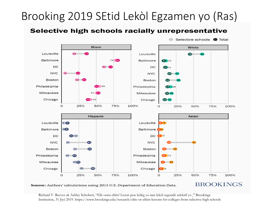## Brooking 2019 SEtid Lekòl Egzamen yo (Ras)

#### Selective high schools racially unrepresentative



Source: Authors' calculations using 2015 U.S. Department of Education Data.

#### **BROOKINGS**

Richard V. Reeves ak Ashley Schobert, "Elit oswa elitis? Leson pou kòlèg yo nan lekòl segondè selektif yo ," Brookings Institution, 31 Jiyè 2019. https://www.brookings.edu/research/elite-or-elitist-lessons-for-colleges-from-selective-high-schools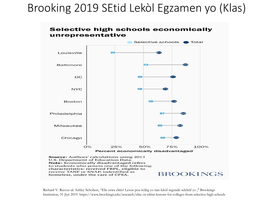### Brooking 2019 SEtid Lekòl Egzamen yo (Klas)



U.S. Department of Education Data. Note: Economically disadvantaged refers to students who posess one of the following characteristics: received FRPL, eligible to receive TANF or SNAP, indentified as **BROOKINGS** homeless, under the care of CFSA.

Richard V. Reeves ak Ashley Schobert, "Elit oswa elitis? Leson pou kòlèg yo nan lekòl segondè selektif yo ," Brookings Institution, 31 Jiyè 2019. https://www.brookings.edu/research/elite-or-elitist-lessons-for-colleges-from-selective-high-schools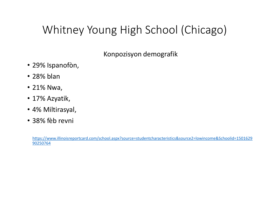## Whitney Young High School (Chicago)

Konpozisyon demografik

- 29% Ispanofòn,
- 28% blan
- 21% Nwa,
- 17% Azyatik,
- 4% Miltirasyal,
- 38% fèb revni

[https://www.illinoisreportcard.com/school.aspx?source=studentcharacteristics&source2=lowincome&Schoolid=1501629](https://www.illinoisreportcard.com/school.aspx?source=studentcharacteristics&source2=lowincome&Schoolid=150162990250764) 90250764